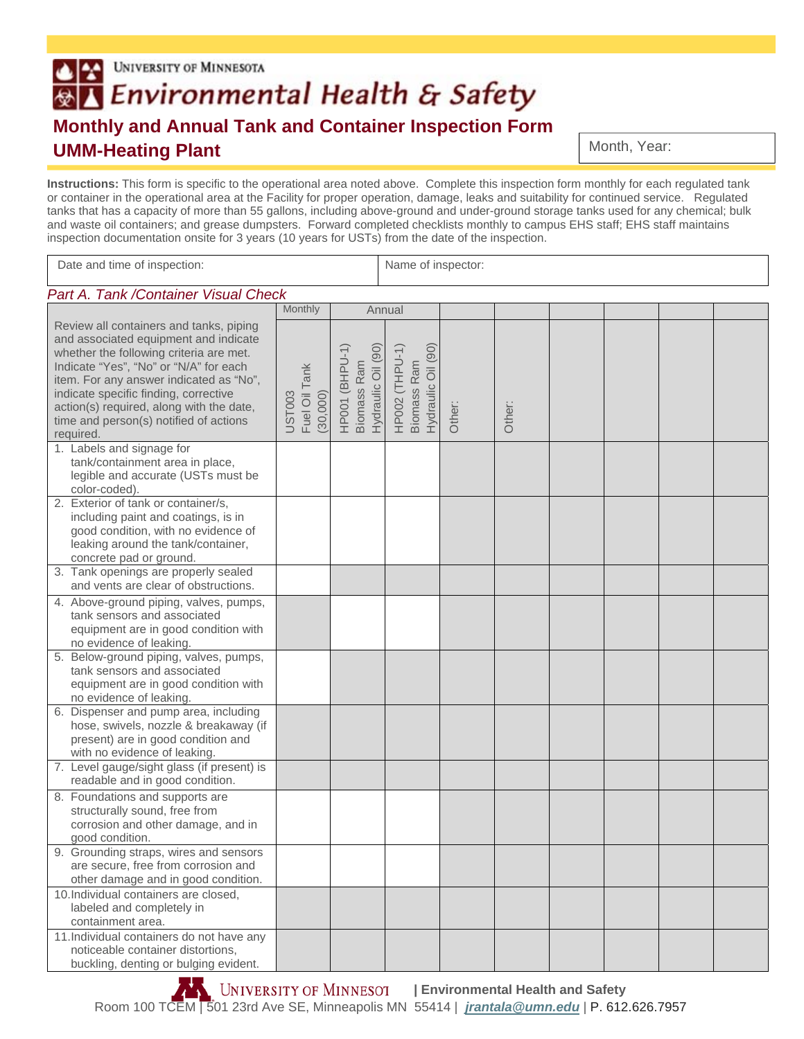## UNIVERSITY OF MINNESOTA BA Environmental Health & Safety **Monthly and Annual Tank and Container Inspection Form UMM-Heating Plant**

Month, Year:

**Instructions:** This form is specific to the operational area noted above. Complete this inspection form monthly for each regulated tank or container in the operational area at the Facility for proper operation, damage, leaks and suitability for continued service. Regulated tanks that has a capacity of more than 55 gallons, including above-ground and under-ground storage tanks used for any chemical; bulk and waste oil containers; and grease dumpsters. Forward completed checklists monthly to campus EHS staff; EHS staff maintains inspection documentation onsite for 3 years (10 years for USTs) from the date of the inspection.

| Date and time of inspection:                                                                                                                                                                                                                                                                                                                                 |                                     |                                                     | Name of inspector:                                  |        |        |  |  |  |  |
|--------------------------------------------------------------------------------------------------------------------------------------------------------------------------------------------------------------------------------------------------------------------------------------------------------------------------------------------------------------|-------------------------------------|-----------------------------------------------------|-----------------------------------------------------|--------|--------|--|--|--|--|
| Part A. Tank / Container Visual Check                                                                                                                                                                                                                                                                                                                        |                                     |                                                     |                                                     |        |        |  |  |  |  |
|                                                                                                                                                                                                                                                                                                                                                              | Monthly                             |                                                     | Annual                                              |        |        |  |  |  |  |
| Review all containers and tanks, piping<br>and associated equipment and indicate<br>whether the following criteria are met.<br>Indicate "Yes", "No" or "N/A" for each<br>item. For any answer indicated as "No",<br>indicate specific finding, corrective<br>action(s) required, along with the date,<br>time and person(s) notified of actions<br>required. | Fuel Oil Tank<br>UST003<br>(30,000) | Hydraulic Oil (90)<br>HP001 (BHPU-1)<br>Biomass Ram | Hydraulic Oil (90)<br>HP002 (THPU-1)<br>Biomass Ram | Other: | Other: |  |  |  |  |
| 1. Labels and signage for<br>tank/containment area in place,<br>legible and accurate (USTs must be<br>color-coded).                                                                                                                                                                                                                                          |                                     |                                                     |                                                     |        |        |  |  |  |  |
| 2. Exterior of tank or container/s,<br>including paint and coatings, is in<br>good condition, with no evidence of<br>leaking around the tank/container,<br>concrete pad or ground.                                                                                                                                                                           |                                     |                                                     |                                                     |        |        |  |  |  |  |
| 3. Tank openings are properly sealed<br>and vents are clear of obstructions.                                                                                                                                                                                                                                                                                 |                                     |                                                     |                                                     |        |        |  |  |  |  |
| 4. Above-ground piping, valves, pumps,<br>tank sensors and associated<br>equipment are in good condition with<br>no evidence of leaking.                                                                                                                                                                                                                     |                                     |                                                     |                                                     |        |        |  |  |  |  |
| 5. Below-ground piping, valves, pumps,<br>tank sensors and associated<br>equipment are in good condition with<br>no evidence of leaking.                                                                                                                                                                                                                     |                                     |                                                     |                                                     |        |        |  |  |  |  |
| 6. Dispenser and pump area, including<br>hose, swivels, nozzle & breakaway (if<br>present) are in good condition and<br>with no evidence of leaking.                                                                                                                                                                                                         |                                     |                                                     |                                                     |        |        |  |  |  |  |
| 7. Level gauge/sight glass (if present) is<br>readable and in good condition.                                                                                                                                                                                                                                                                                |                                     |                                                     |                                                     |        |        |  |  |  |  |
| 8. Foundations and supports are<br>structurally sound, free from<br>corrosion and other damage, and in<br>good condition.                                                                                                                                                                                                                                    |                                     |                                                     |                                                     |        |        |  |  |  |  |
| 9. Grounding straps, wires and sensors<br>are secure, free from corrosion and<br>other damage and in good condition.                                                                                                                                                                                                                                         |                                     |                                                     |                                                     |        |        |  |  |  |  |
| 10. Individual containers are closed,<br>labeled and completely in<br>containment area.                                                                                                                                                                                                                                                                      |                                     |                                                     |                                                     |        |        |  |  |  |  |
| 11. Individual containers do not have any<br>noticeable container distortions,<br>buckling, denting or bulging evident.                                                                                                                                                                                                                                      |                                     |                                                     |                                                     |        |        |  |  |  |  |

**IN UNIVERSITY OF MINNESO1** | Environmental Health and Safety Room 100 TCEM | 501 23rd Ave SE, Minneapolis MN 55414 | *jrantala@umn.edu* | P. 612.626.7957